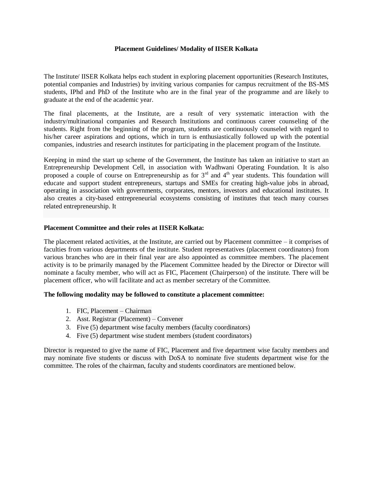## **Placement Guidelines/ Modality of IISER Kolkata**

The Institute/ IISER Kolkata helps each student in exploring placement opportunities (Research Institutes, potential companies and Industries) by inviting various companies for campus recruitment of the BS-MS students, IPhd and PhD of the Institute who are in the final year of the programme and are likely to graduate at the end of the academic year.

The final placements, at the Institute, are a result of very systematic interaction with the industry/multinational companies and Research Institutions and continuous career counseling of the students. Right from the beginning of the program, students are continuously counseled with regard to his/her career aspirations and options, which in turn is enthusiastically followed up with the potential companies, industries and research institutes for participating in the placement program of the Institute.

Keeping in mind the start up scheme of the Government, the Institute has taken an initiative to start an Entrepreneurship Development Cell, in association with Wadhwani Operating Foundation. It is also proposed a couple of course on Entrepreneurship as for  $3<sup>rd</sup>$  and  $4<sup>th</sup>$  year students. This foundation will educate and support student entrepreneurs, startups and SMEs for creating high-value jobs in abroad, operating in association with governments, corporates, mentors, investors and educational institutes. It also creates a city-based entrepreneurial ecosystems consisting of institutes that teach many courses related entrepreneurship. It

#### **Placement Committee and their roles at IISER Kolkata:**

The placement related activities, at the Institute, are carried out by Placement committee – it comprises of faculties from various departments of the institute. Student representatives (placement coordinators) from various branches who are in their final year are also appointed as committee members. The placement activity is to be primarily managed by the Placement Committee headed by the Director or Director will nominate a faculty member, who will act as FIC, Placement (Chairperson) of the institute. There will be placement officer, who will facilitate and act as member secretary of the Committee.

#### **The following modality may be followed to constitute a placement committee:**

- 1. FIC, Placement Chairman
- 2. Asst. Registrar (Placement) Convener
- 3. Five (5) department wise faculty members (faculty coordinators)
- 4. Five (5) department wise student members (student coordinators)

Director is requested to give the name of FIC, Placement and five department wise faculty members and may nominate five students or discuss with DoSA to nominate five students department wise for the committee. The roles of the chairman, faculty and students coordinators are mentioned below.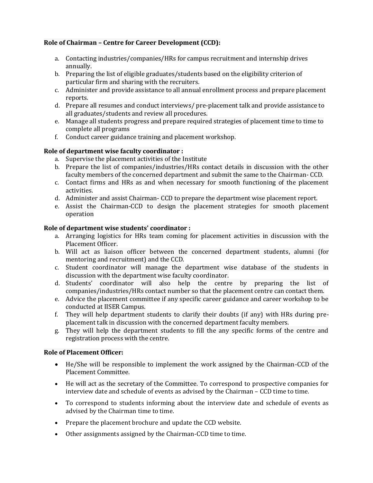# **Role of Chairman – Centre for Career Development (CCD):**

- a. Contacting industries/companies/HRs for campus recruitment and internship drives annually.
- b. Preparing the list of eligible graduates/students based on the eligibility criterion of particular firm and sharing with the recruiters.
- c. Administer and provide assistance to all annual enrollment process and prepare placement reports.
- d. Prepare all resumes and conduct interviews/ pre-placement talk and provide assistance to all graduates/students and review all procedures.
- e. Manage all students progress and prepare required strategies of placement time to time to complete all programs
- f. Conduct career guidance training and placement workshop.

# **Role of department wise faculty coordinator :**

- a. Supervise the placement activities of the Institute
- b. Prepare the list of companies/industries/HRs contact details in discussion with the other faculty members of the concerned department and submit the same to the Chairman- CCD.
- c. Contact firms and HRs as and when necessary for smooth functioning of the placement activities.
- d. Administer and assist Chairman- CCD to prepare the department wise placement report.
- e. Assist the Chairman-CCD to design the placement strategies for smooth placement operation

# **Role of department wise students' coordinator :**

- a. Arranging logistics for HRs team coming for placement activities in discussion with the Placement Officer.
- b. Will act as liaison officer between the concerned department students, alumni (for mentoring and recruitment) and the CCD.
- c. Student coordinator will manage the department wise database of the students in discussion with the department wise faculty coordinator.
- d. Students' coordinator will also help the centre by preparing the list of companies/industries/HRs contact number so that the placement centre can contact them.
- e. Advice the placement committee if any specific career guidance and career workshop to be conducted at IISER Campus.
- f. They will help department students to clarify their doubts (if any) with HRs during preplacement talk in discussion with the concerned department faculty members.
- g. They will help the department students to fill the any specific forms of the centre and registration process with the centre.

# **Role of Placement Officer:**

- He/She will be responsible to implement the work assigned by the Chairman-CCD of the Placement Committee.
- He will act as the secretary of the Committee. To correspond to prospective companies for interview date and schedule of events as advised by the Chairman – CCD time to time.
- To correspond to students informing about the interview date and schedule of events as advised by the Chairman time to time.
- Prepare the placement brochure and update the CCD website.
- Other assignments assigned by the Chairman-CCD time to time.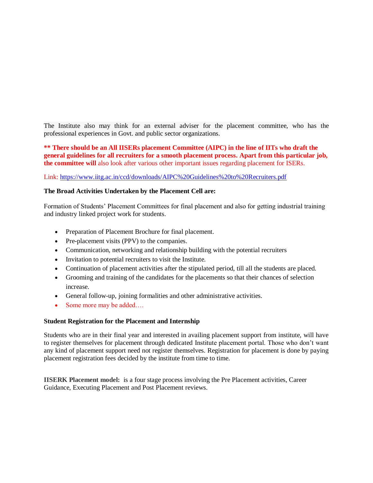The Institute also may think for an external adviser for the placement committee, who has the professional experiences in Govt. and public sector organizations.

**\*\* There should be an All IISERs placement Committee (AIPC) in the line of IITs who draft the general guidelines for all recruiters for a smooth placement process. Apart from this particular job, the committee will** also look after various other important issues regarding placement for ISERs.

Link:<https://www.iitg.ac.in/ccd/downloads/AIPC%20Guidelines%20to%20Recruiters.pdf>

## **The Broad Activities Undertaken by the Placement Cell are:**

Formation of Students' Placement Committees for final placement and also for getting industrial training and industry linked project work for students.

- Preparation of Placement Brochure for final placement.
- Pre-placement visits (PPV) to the companies.
- Communication, networking and relationship building with the potential recruiters
- Invitation to potential recruiters to visit the Institute.
- Continuation of placement activities after the stipulated period, till all the students are placed.
- Grooming and training of the candidates for the placements so that their chances of selection increase.
- General follow-up, joining formalities and other administrative activities.
- Some more may be added….

## **Student Registration for the Placement and Internship**

Students who are in their final year and interested in availing placement support from institute, will have to register themselves for placement through dedicated Institute placement portal. Those who don't want any kind of placement support need not register themselves. Registration for placement is done by paying placement registration fees decided by the institute from time to time.

**IISERK Placement model:** is a four stage process involving the Pre Placement activities, Career Guidance, Executing Placement and Post Placement reviews.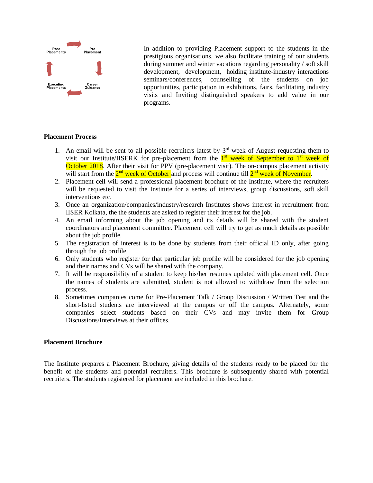

In addition to providing Placement support to the students in the prestigious organisations, we also facilitate training of our students during summer and winter vacations regarding personality / soft skill development, development, holding institute-industry interactions seminars/conferences, counselling of the students on job opportunities, participation in exhibitions, fairs, facilitating industry visits and Inviting distinguished speakers to add value in our programs.

### **Placement Process**

- 1. An email will be sent to all possible recruiters latest by  $3<sup>rd</sup>$  week of August requesting them to visit our Institute/IISERK for pre-placement from the 1<sup>st</sup> week of September to 1<sup>st</sup> week of October 2018. After their visit for PPV (pre-placement visit). The on-campus placement activity will start from the 2<sup>nd</sup> week of October and process will continue till 2<sup>nd</sup> week of November.
- 2. Placement cell will send a professional placement brochure of the Institute, where the recruiters will be requested to visit the Institute for a series of interviews, group discussions, soft skill interventions etc.
- 3. Once an organization/companies/industry/research Institutes shows interest in recruitment from IISER Kolkata, the the students are asked to register their interest for the job.
- 4. An email informing about the job opening and its details will be shared with the student coordinators and placement committee. Placement cell will try to get as much details as possible about the job profile.
- 5. The registration of interest is to be done by students from their official ID only, after going through the job profile
- 6. Only students who register for that particular job profile will be considered for the job opening and their names and CVs will be shared with the company.
- 7. It will be responsibility of a student to keep his/her resumes updated with placement cell. Once the names of students are submitted, student is not allowed to withdraw from the selection process.
- 8. Sometimes companies come for Pre-Placement Talk / Group Discussion / Written Test and the short-listed students are interviewed at the campus or off the campus. Alternately, some companies select students based on their CVs and may invite them for Group Discussions/Interviews at their offices.

## **Placement Brochure**

The Institute prepares a Placement Brochure, giving details of the students ready to be placed for the benefit of the students and potential recruiters. This brochure is subsequently shared with potential recruiters. The students registered for placement are included in this brochure.